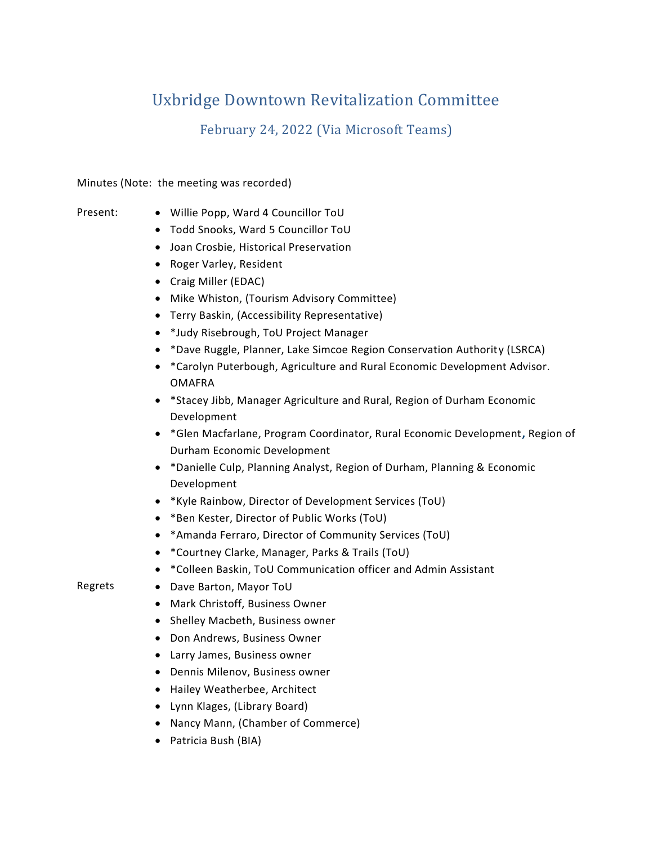# Uxbridge Downtown Revitalization Committee

February 24, 2022 (Via Microsoft Teams)

Minutes (Note: the meeting was recorded)

- Present: Willie Popp, Ward 4 Councillor ToU
	- Todd Snooks, Ward 5 Councillor ToU
	- Joan Crosbie, Historical Preservation
	- Roger Varley, Resident
	- Craig Miller (EDAC)
	- Mike Whiston, (Tourism Advisory Committee)
	- Terry Baskin, (Accessibility Representative)
	- \*Judy Risebrough, ToU Project Manager
	- \*Dave Ruggle, Planner, Lake Simcoe Region Conservation Authority (LSRCA)
	- \*Carolyn Puterbough, Agriculture and Rural Economic Development Advisor. OMAFRA
	- \*Stacey Jibb, Manager Agriculture and Rural, Region of Durham Economic Development
	- \*Glen Macfarlane, Program Coordinator, Rural Economic Development**,** Region of Durham Economic Development
	- \*Danielle Culp, Planning Analyst, Region of Durham, Planning & Economic Development
	- \*Kyle Rainbow, Director of Development Services (ToU)
	- \*Ben Kester, Director of Public Works (ToU)
	- \*Amanda Ferraro, Director of Community Services (ToU)
	- \*Courtney Clarke, Manager, Parks & Trails (ToU)
	- \*Colleen Baskin, ToU Communication officer and Admin Assistant

- Regrets Dave Barton, Mayor ToU
	- Mark Christoff, Business Owner
	- Shelley Macbeth, Business owner
	- Don Andrews, Business Owner
	- Larry James, Business owner
	- Dennis Milenov, Business owner
	- Hailey Weatherbee, Architect
	- Lynn Klages, (Library Board)
	- Nancy Mann, (Chamber of Commerce)
	- Patricia Bush (BIA)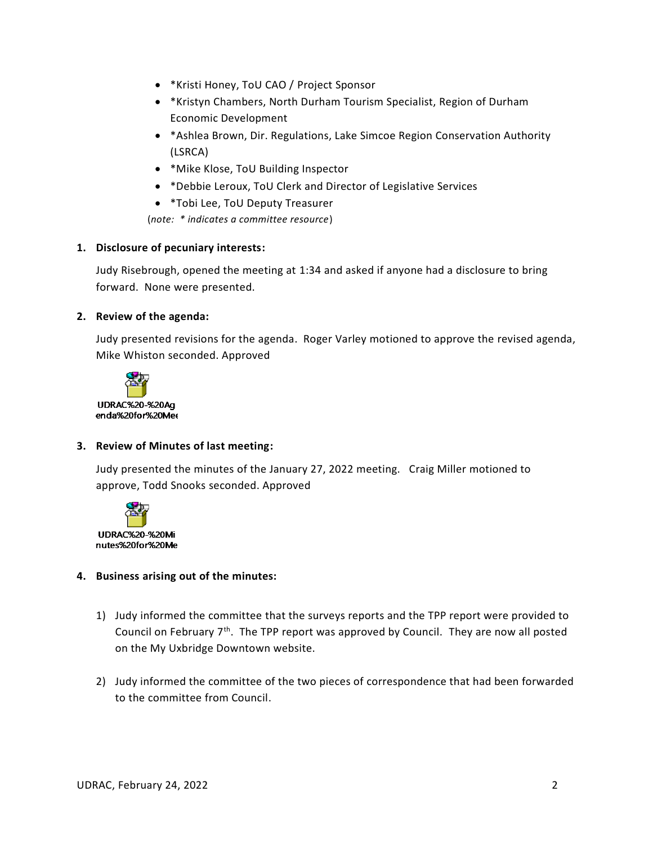- \*Kristi Honey, ToU CAO / Project Sponsor
- \*Kristyn Chambers, North Durham Tourism Specialist, Region of Durham Economic Development
- \*Ashlea Brown, Dir. Regulations, Lake Simcoe Region Conservation Authority (LSRCA)
- \*Mike Klose, ToU Building Inspector
- \*Debbie Leroux, ToU Clerk and Director of Legislative Services
- \*Tobi Lee, ToU Deputy Treasurer

(*note: \* indicates a committee resource*)

### **1. Disclosure of pecuniary interests:**

Judy Risebrough, opened the meeting at 1:34 and asked if anyone had a disclosure to bring forward. None were presented.

### **2. Review of the agenda:**

Judy presented revisions for the agenda. Roger Varley motioned to approve the revised agenda, Mike Whiston seconded. Approved



## **3. Review of Minutes of last meeting:**

Judy presented the minutes of the January 27, 2022 meeting. Craig Miller motioned to approve, Todd Snooks seconded. Approved



## **4. Business arising out of the minutes:**

- 1) Judy informed the committee that the surveys reports and the TPP report were provided to Council on February  $7<sup>th</sup>$ . The TPP report was approved by Council. They are now all posted on the My Uxbridge Downtown website.
- 2) Judy informed the committee of the two pieces of correspondence that had been forwarded to the committee from Council.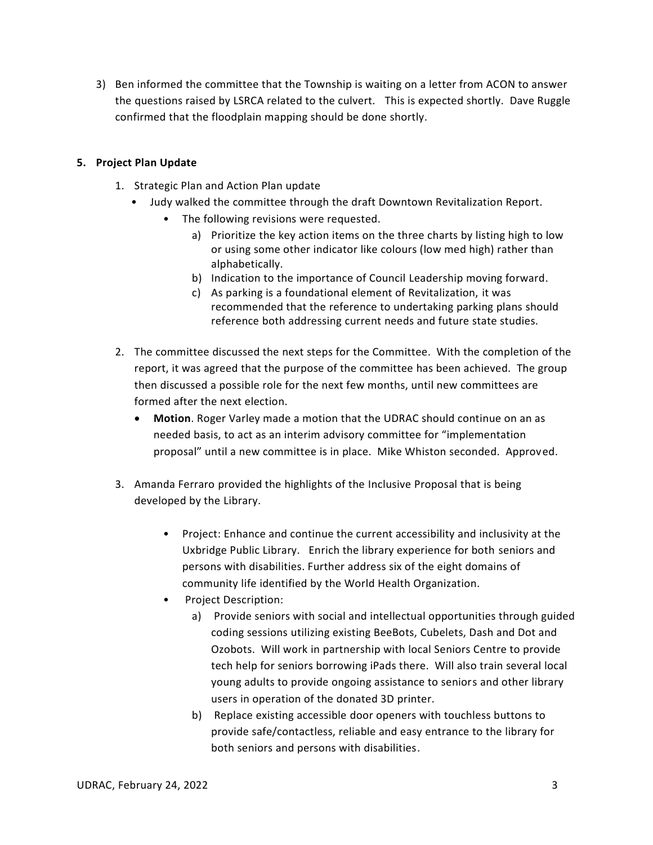3) Ben informed the committee that the Township is waiting on a letter from ACON to answer the questions raised by LSRCA related to the culvert. This is expected shortly. Dave Ruggle confirmed that the floodplain mapping should be done shortly.

# **5. Project Plan Update**

- 1. Strategic Plan and Action Plan update
	- Judy walked the committee through the draft Downtown Revitalization Report.
		- The following revisions were requested.
			- a) Prioritize the key action items on the three charts by listing high to low or using some other indicator like colours (low med high) rather than alphabetically.
			- b) Indication to the importance of Council Leadership moving forward.
			- c) As parking is a foundational element of Revitalization, it was recommended that the reference to undertaking parking plans should reference both addressing current needs and future state studies.
- 2. The committee discussed the next steps for the Committee. With the completion of the report, it was agreed that the purpose of the committee has been achieved. The group then discussed a possible role for the next few months, until new committees are formed after the next election.
	- **Motion**. Roger Varley made a motion that the UDRAC should continue on an as needed basis, to act as an interim advisory committee for "implementation proposal" until a new committee is in place. Mike Whiston seconded. Approved.
- 3. Amanda Ferraro provided the highlights of the Inclusive Proposal that is being developed by the Library.
	- Project: Enhance and continue the current accessibility and inclusivity at the Uxbridge Public Library. Enrich the library experience for both seniors and persons with disabilities. Further address six of the eight domains of community life identified by the World Health Organization.
	- Project Description:
		- a) Provide seniors with social and intellectual opportunities through guided coding sessions utilizing existing BeeBots, Cubelets, Dash and Dot and Ozobots. Will work in partnership with local Seniors Centre to provide tech help for seniors borrowing iPads there. Will also train several local young adults to provide ongoing assistance to seniors and other library users in operation of the donated 3D printer.
		- b) Replace existing accessible door openers with touchless buttons to provide safe/contactless, reliable and easy entrance to the library for both seniors and persons with disabilities.